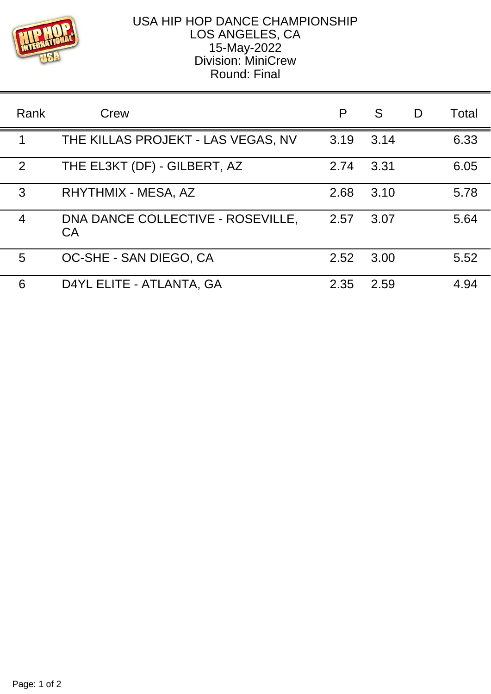

## USA HIP HOP DANCE CHAMPIONSHIP LOS ANGELES, CA 15-May-2022 Division: MiniCrew Round: Final

| Rank | Crew                                    | P    | S    | D | Total |
|------|-----------------------------------------|------|------|---|-------|
| 1    | THE KILLAS PROJEKT - LAS VEGAS, NV      | 3.19 | 3.14 |   | 6.33  |
| 2    | THE EL3KT (DF) - GILBERT, AZ            | 2.74 | 3.31 |   | 6.05  |
| 3    | RHYTHMIX - MESA, AZ                     | 2.68 | 3.10 |   | 5.78  |
| 4    | DNA DANCE COLLECTIVE - ROSEVILLE,<br>CA | 2.57 | 3.07 |   | 5.64  |
| 5    | OC-SHE - SAN DIEGO, CA                  | 2.52 | 3.00 |   | 5.52  |
| 6    | D4YL ELITE - ATLANTA, GA                | 2.35 | 2.59 |   | 4.94  |